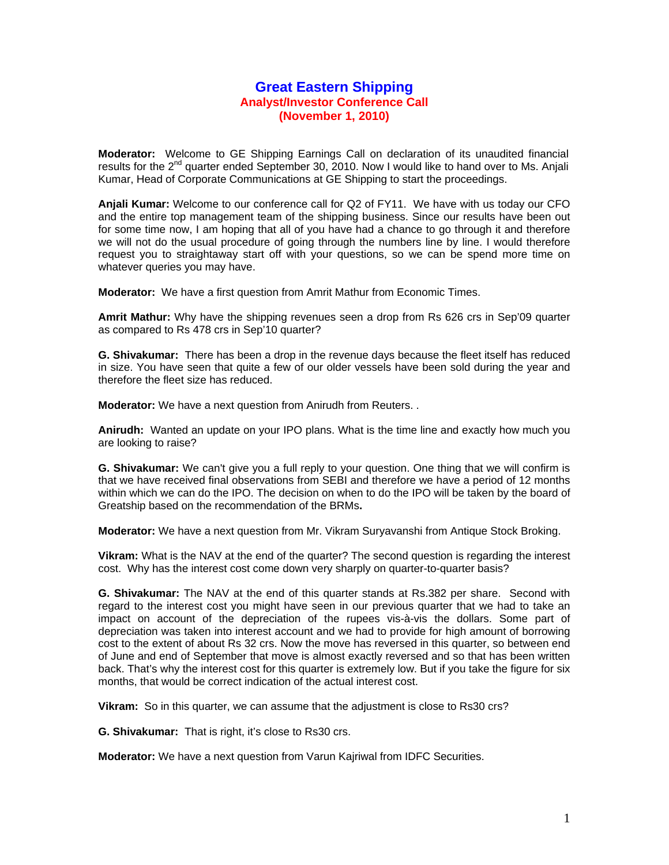## **Great Eastern Shipping Analyst/Investor Conference Call (November 1, 2010)**

**Moderator:** Welcome to GE Shipping Earnings Call on declaration of its unaudited financial results for the  $2^{nd}$  quarter ended September 30, 2010. Now I would like to hand over to Ms. Anjali Kumar, Head of Corporate Communications at GE Shipping to start the proceedings.

**Anjali Kumar:** Welcome to our conference call for Q2 of FY11. We have with us today our CFO and the entire top management team of the shipping business. Since our results have been out for some time now, I am hoping that all of you have had a chance to go through it and therefore we will not do the usual procedure of going through the numbers line by line. I would therefore request you to straightaway start off with your questions, so we can be spend more time on whatever queries you may have.

**Moderator:** We have a first question from Amrit Mathur from Economic Times.

**Amrit Mathur:** Why have the shipping revenues seen a drop from Rs 626 crs in Sep'09 quarter as compared to Rs 478 crs in Sep'10 quarter?

**G. Shivakumar:** There has been a drop in the revenue days because the fleet itself has reduced in size. You have seen that quite a few of our older vessels have been sold during the year and therefore the fleet size has reduced.

**Moderator:** We have a next question from Anirudh from Reuters. .

**Anirudh:** Wanted an update on your IPO plans. What is the time line and exactly how much you are looking to raise?

**G. Shivakumar:** We can't give you a full reply to your question. One thing that we will confirm is that we have received final observations from SEBI and therefore we have a period of 12 months within which we can do the IPO. The decision on when to do the IPO will be taken by the board of Greatship based on the recommendation of the BRMs**.**

**Moderator:** We have a next question from Mr. Vikram Suryavanshi from Antique Stock Broking.

**Vikram:** What is the NAV at the end of the quarter? The second question is regarding the interest cost. Why has the interest cost come down very sharply on quarter-to-quarter basis?

**G. Shivakumar:** The NAV at the end of this quarter stands at Rs.382 per share. Second with regard to the interest cost you might have seen in our previous quarter that we had to take an impact on account of the depreciation of the rupees vis-à-vis the dollars. Some part of depreciation was taken into interest account and we had to provide for high amount of borrowing cost to the extent of about Rs 32 crs. Now the move has reversed in this quarter, so between end of June and end of September that move is almost exactly reversed and so that has been written back. That's why the interest cost for this quarter is extremely low. But if you take the figure for six months, that would be correct indication of the actual interest cost.

**Vikram:** So in this quarter, we can assume that the adjustment is close to Rs30 crs?

**G. Shivakumar:** That is right, it's close to Rs30 crs.

**Moderator:** We have a next question from Varun Kajriwal from IDFC Securities.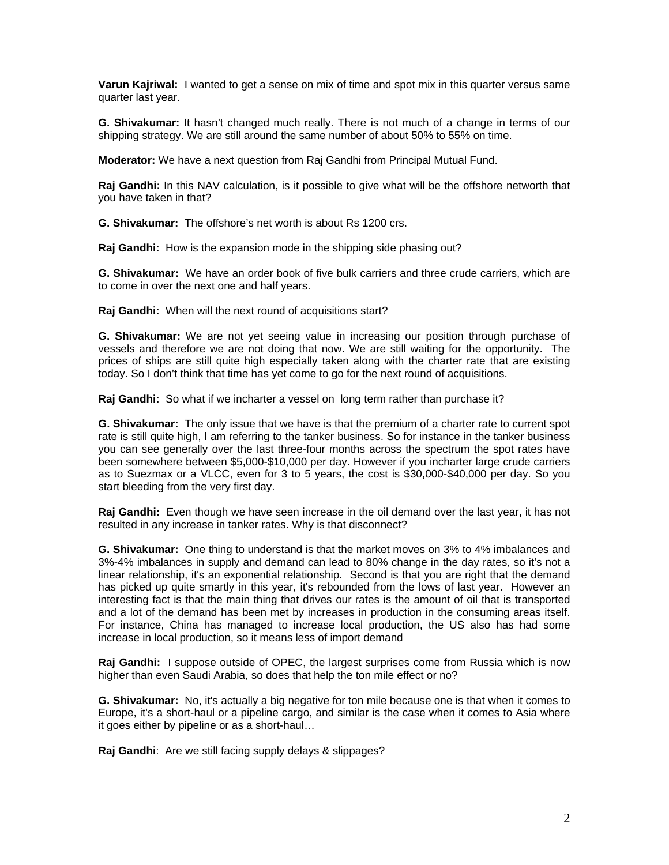**Varun Kajriwal:** I wanted to get a sense on mix of time and spot mix in this quarter versus same quarter last year.

**G. Shivakumar:** It hasn't changed much really. There is not much of a change in terms of our shipping strategy. We are still around the same number of about 50% to 55% on time.

**Moderator:** We have a next question from Raj Gandhi from Principal Mutual Fund.

**Raj Gandhi:** In this NAV calculation, is it possible to give what will be the offshore networth that you have taken in that?

**G. Shivakumar:** The offshore's net worth is about Rs 1200 crs.

**Raj Gandhi:** How is the expansion mode in the shipping side phasing out?

**G. Shivakumar:** We have an order book of five bulk carriers and three crude carriers, which are to come in over the next one and half years.

**Raj Gandhi:** When will the next round of acquisitions start?

**G. Shivakumar:** We are not yet seeing value in increasing our position through purchase of vessels and therefore we are not doing that now. We are still waiting for the opportunity. The prices of ships are still quite high especially taken along with the charter rate that are existing today. So I don't think that time has yet come to go for the next round of acquisitions.

**Raj Gandhi:** So what if we incharter a vessel on long term rather than purchase it?

**G. Shivakumar:** The only issue that we have is that the premium of a charter rate to current spot rate is still quite high, I am referring to the tanker business. So for instance in the tanker business you can see generally over the last three-four months across the spectrum the spot rates have been somewhere between \$5,000-\$10,000 per day. However if you incharter large crude carriers as to Suezmax or a VLCC, even for 3 to 5 years, the cost is \$30,000-\$40,000 per day. So you start bleeding from the very first day.

**Raj Gandhi:** Even though we have seen increase in the oil demand over the last year, it has not resulted in any increase in tanker rates. Why is that disconnect?

**G. Shivakumar:** One thing to understand is that the market moves on 3% to 4% imbalances and 3%-4% imbalances in supply and demand can lead to 80% change in the day rates, so it's not a linear relationship, it's an exponential relationship. Second is that you are right that the demand has picked up quite smartly in this year, it's rebounded from the lows of last year. However an interesting fact is that the main thing that drives our rates is the amount of oil that is transported and a lot of the demand has been met by increases in production in the consuming areas itself. For instance, China has managed to increase local production, the US also has had some increase in local production, so it means less of import demand

**Raj Gandhi:** I suppose outside of OPEC, the largest surprises come from Russia which is now higher than even Saudi Arabia, so does that help the ton mile effect or no?

**G. Shivakumar:** No, it's actually a big negative for ton mile because one is that when it comes to Europe, it's a short-haul or a pipeline cargo, and similar is the case when it comes to Asia where it goes either by pipeline or as a short-haul…

**Raj Gandhi**: Are we still facing supply delays & slippages?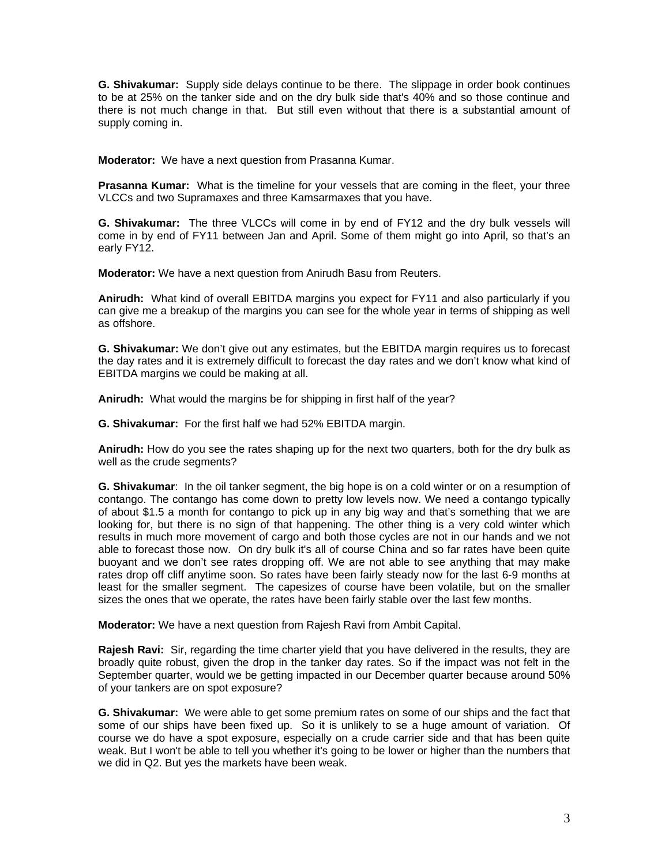**G. Shivakumar:** Supply side delays continue to be there. The slippage in order book continues to be at 25% on the tanker side and on the dry bulk side that's 40% and so those continue and there is not much change in that. But still even without that there is a substantial amount of supply coming in.

**Moderator:** We have a next question from Prasanna Kumar.

**Prasanna Kumar:** What is the timeline for your vessels that are coming in the fleet, your three VLCCs and two Supramaxes and three Kamsarmaxes that you have.

**G. Shivakumar:** The three VLCCs will come in by end of FY12 and the dry bulk vessels will come in by end of FY11 between Jan and April. Some of them might go into April, so that's an early FY12.

**Moderator:** We have a next question from Anirudh Basu from Reuters.

**Anirudh:** What kind of overall EBITDA margins you expect for FY11 and also particularly if you can give me a breakup of the margins you can see for the whole year in terms of shipping as well as offshore.

**G. Shivakumar:** We don't give out any estimates, but the EBITDA margin requires us to forecast the day rates and it is extremely difficult to forecast the day rates and we don't know what kind of EBITDA margins we could be making at all.

**Anirudh:** What would the margins be for shipping in first half of the year?

**G. Shivakumar:** For the first half we had 52% EBITDA margin.

**Anirudh:** How do you see the rates shaping up for the next two quarters, both for the dry bulk as well as the crude segments?

**G. Shivakumar**: In the oil tanker segment, the big hope is on a cold winter or on a resumption of contango. The contango has come down to pretty low levels now. We need a contango typically of about \$1.5 a month for contango to pick up in any big way and that's something that we are looking for, but there is no sign of that happening. The other thing is a very cold winter which results in much more movement of cargo and both those cycles are not in our hands and we not able to forecast those now. On dry bulk it's all of course China and so far rates have been quite buoyant and we don't see rates dropping off. We are not able to see anything that may make rates drop off cliff anytime soon. So rates have been fairly steady now for the last 6-9 months at least for the smaller segment. The capesizes of course have been volatile, but on the smaller sizes the ones that we operate, the rates have been fairly stable over the last few months.

**Moderator:** We have a next question from Rajesh Ravi from Ambit Capital.

**Rajesh Ravi:** Sir, regarding the time charter yield that you have delivered in the results, they are broadly quite robust, given the drop in the tanker day rates. So if the impact was not felt in the September quarter, would we be getting impacted in our December quarter because around 50% of your tankers are on spot exposure?

**G. Shivakumar:** We were able to get some premium rates on some of our ships and the fact that some of our ships have been fixed up. So it is unlikely to se a huge amount of variation. Of course we do have a spot exposure, especially on a crude carrier side and that has been quite weak. But I won't be able to tell you whether it's going to be lower or higher than the numbers that we did in Q2. But yes the markets have been weak.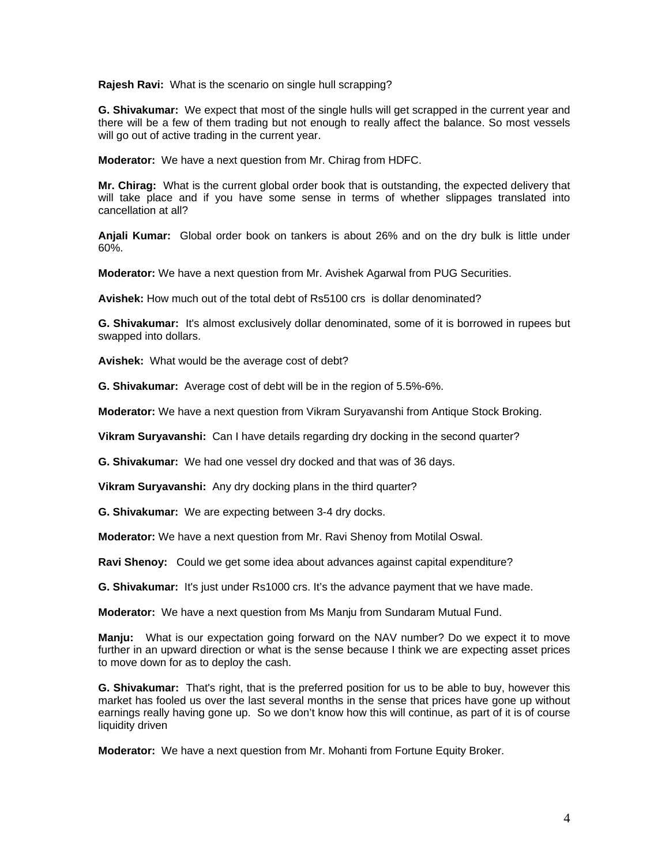**Rajesh Ravi:** What is the scenario on single hull scrapping?

**G. Shivakumar:** We expect that most of the single hulls will get scrapped in the current year and there will be a few of them trading but not enough to really affect the balance. So most vessels will go out of active trading in the current year.

**Moderator:** We have a next question from Mr. Chirag from HDFC.

**Mr. Chirag:** What is the current global order book that is outstanding, the expected delivery that will take place and if you have some sense in terms of whether slippages translated into cancellation at all?

**Anjali Kumar:** Global order book on tankers is about 26% and on the dry bulk is little under 60%.

**Moderator:** We have a next question from Mr. Avishek Agarwal from PUG Securities.

**Avishek:** How much out of the total debt of Rs5100 crs is dollar denominated?

**G. Shivakumar:** It's almost exclusively dollar denominated, some of it is borrowed in rupees but swapped into dollars.

**Avishek:** What would be the average cost of debt?

**G. Shivakumar:** Average cost of debt will be in the region of 5.5%-6%.

**Moderator:** We have a next question from Vikram Suryavanshi from Antique Stock Broking.

**Vikram Suryavanshi:** Can I have details regarding dry docking in the second quarter?

**G. Shivakumar:** We had one vessel dry docked and that was of 36 days.

**Vikram Suryavanshi:** Any dry docking plans in the third quarter?

**G. Shivakumar:** We are expecting between 3-4 dry docks.

**Moderator:** We have a next question from Mr. Ravi Shenoy from Motilal Oswal.

**Ravi Shenoy:** Could we get some idea about advances against capital expenditure?

**G. Shivakumar:** It's just under Rs1000 crs. It's the advance payment that we have made.

**Moderator:** We have a next question from Ms Manju from Sundaram Mutual Fund.

**Manju:** What is our expectation going forward on the NAV number? Do we expect it to move further in an upward direction or what is the sense because I think we are expecting asset prices to move down for as to deploy the cash.

**G. Shivakumar:** That's right, that is the preferred position for us to be able to buy, however this market has fooled us over the last several months in the sense that prices have gone up without earnings really having gone up. So we don't know how this will continue, as part of it is of course liquidity driven

**Moderator:** We have a next question from Mr. Mohanti from Fortune Equity Broker.